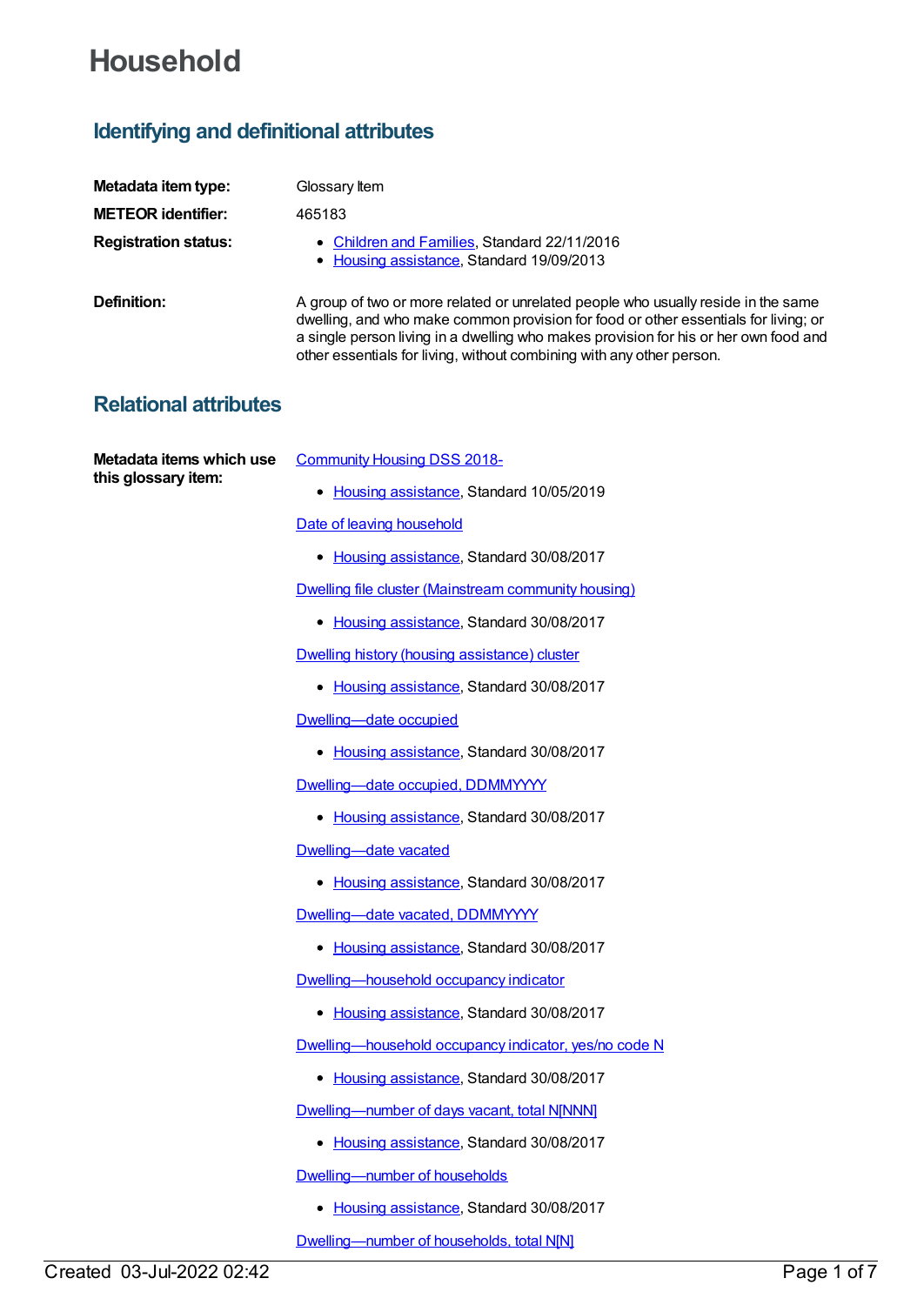# **Household**

## **Identifying and definitional attributes**

| Metadata item type:         | Glossary Item                                                                                                                                                                                                                                                                                                                             |
|-----------------------------|-------------------------------------------------------------------------------------------------------------------------------------------------------------------------------------------------------------------------------------------------------------------------------------------------------------------------------------------|
| <b>METEOR identifier:</b>   | 465183                                                                                                                                                                                                                                                                                                                                    |
| <b>Registration status:</b> | • Children and Families, Standard 22/11/2016<br>• Housing assistance, Standard 19/09/2013                                                                                                                                                                                                                                                 |
| Definition:                 | A group of two or more related or unrelated people who usually reside in the same<br>dwelling, and who make common provision for food or other essentials for living; or<br>a single person living in a dwelling who makes provision for his or her own food and<br>other essentials for living, without combining with any other person. |

### **Relational attributes**

**Metadata items which use this glossary item:**

[Community](https://meteor.aihw.gov.au/content/710899) Housing DSS 2018-

• Housing [assistance](https://meteor.aihw.gov.au/RegistrationAuthority/11), Standard 10/05/2019

Date of leaving [household](https://meteor.aihw.gov.au/content/610235)

• Housing [assistance](https://meteor.aihw.gov.au/RegistrationAuthority/11), Standard 30/08/2017

Dwelling file cluster [\(Mainstream](https://meteor.aihw.gov.au/content/605342) community housing)

• Housing [assistance](https://meteor.aihw.gov.au/RegistrationAuthority/11), Standard 30/08/2017

Dwelling history (housing [assistance\)](https://meteor.aihw.gov.au/content/605278) cluster

• Housing [assistance](https://meteor.aihw.gov.au/RegistrationAuthority/11), Standard 30/08/2017

[Dwelling—date](https://meteor.aihw.gov.au/content/608005) occupied

• Housing [assistance](https://meteor.aihw.gov.au/RegistrationAuthority/11), Standard 30/08/2017

Dwelling-date occupied, DDMMYYYY

• Housing [assistance](https://meteor.aihw.gov.au/RegistrationAuthority/11), Standard 30/08/2017

[Dwelling—date](https://meteor.aihw.gov.au/content/608009) vacated

• Housing [assistance](https://meteor.aihw.gov.au/RegistrationAuthority/11), Standard 30/08/2017

[Dwelling—date](https://meteor.aihw.gov.au/content/608011) vacated, DDMMYYYY

• Housing [assistance](https://meteor.aihw.gov.au/RegistrationAuthority/11), Standard 30/08/2017

[Dwelling—household](https://meteor.aihw.gov.au/content/608114) occupancy indicator

• Housing [assistance](https://meteor.aihw.gov.au/RegistrationAuthority/11), Standard 30/08/2017

[Dwelling—household](https://meteor.aihw.gov.au/content/607865) occupancy indicator, yes/no code N

• Housing [assistance](https://meteor.aihw.gov.au/RegistrationAuthority/11), Standard 30/08/2017

[Dwelling—number](https://meteor.aihw.gov.au/content/608070) of days vacant, total N[NNN]

• Housing [assistance](https://meteor.aihw.gov.au/RegistrationAuthority/11), Standard 30/08/2017

[Dwelling—number](https://meteor.aihw.gov.au/content/663040) of households

• Housing [assistance](https://meteor.aihw.gov.au/RegistrationAuthority/11), Standard 30/08/2017

[Dwelling—number](https://meteor.aihw.gov.au/content/463937) of households, total N[N]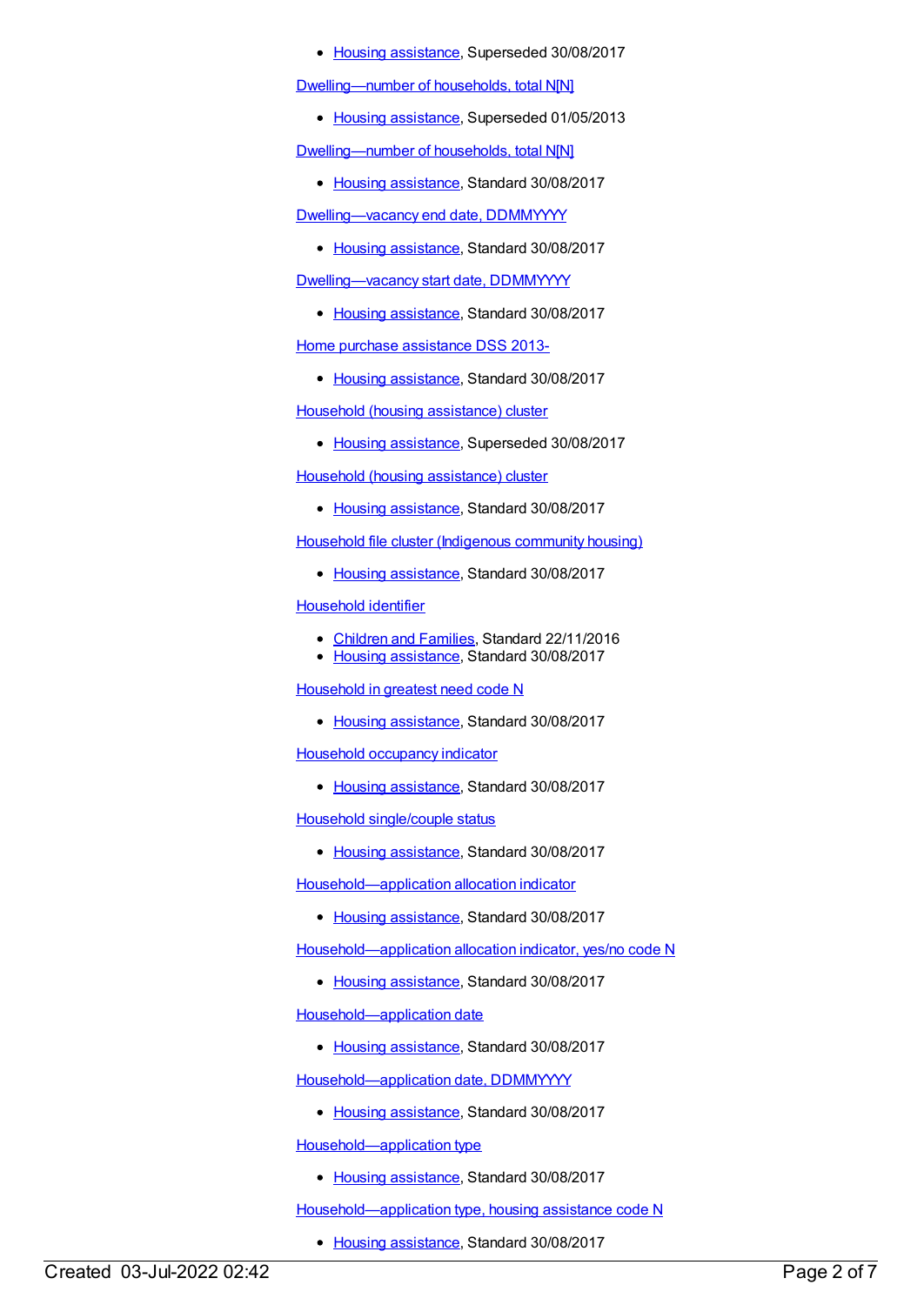#### • Housing [assistance](https://meteor.aihw.gov.au/RegistrationAuthority/11), Superseded 30/08/2017

[Dwelling—number](https://meteor.aihw.gov.au/content/500101) of households, total N[N]

• Housing [assistance](https://meteor.aihw.gov.au/RegistrationAuthority/11), Superseded 01/05/2013

[Dwelling—number](https://meteor.aihw.gov.au/content/663045) of households, total N[N]

• Housing [assistance](https://meteor.aihw.gov.au/RegistrationAuthority/11), Standard 30/08/2017

[Dwelling—vacancy](https://meteor.aihw.gov.au/content/607868) end date, DDMMYYYY

• Housing [assistance](https://meteor.aihw.gov.au/RegistrationAuthority/11), Standard 30/08/2017

[Dwelling—vacancy](https://meteor.aihw.gov.au/content/607870) start date, DDMMYYYY

• Housing [assistance](https://meteor.aihw.gov.au/RegistrationAuthority/11), Standard 30/08/2017

Home purchase [assistance](https://meteor.aihw.gov.au/content/596710) DSS 2013-

• Housing [assistance](https://meteor.aihw.gov.au/RegistrationAuthority/11), Standard 30/08/2017

Household (housing [assistance\)](https://meteor.aihw.gov.au/content/605255) cluster

• Housing [assistance](https://meteor.aihw.gov.au/RegistrationAuthority/11), Superseded 30/08/2017

Household (housing [assistance\)](https://meteor.aihw.gov.au/content/635951) cluster

• Housing [assistance](https://meteor.aihw.gov.au/RegistrationAuthority/11), Standard 30/08/2017

Household file cluster [\(Indigenous](https://meteor.aihw.gov.au/content/605356) community housing)

• Housing [assistance](https://meteor.aihw.gov.au/RegistrationAuthority/11), Standard 30/08/2017

[Household](https://meteor.aihw.gov.au/content/608097) identifier

- [Children](https://meteor.aihw.gov.au/RegistrationAuthority/17) and Families, Standard 22/11/2016
- Housing [assistance](https://meteor.aihw.gov.au/RegistrationAuthority/11), Standard 30/08/2017

[Household](https://meteor.aihw.gov.au/content/608052) in greatest need code N

• Housing [assistance](https://meteor.aihw.gov.au/RegistrationAuthority/11), Standard 30/08/2017

Household [occupancy](https://meteor.aihw.gov.au/content/662247) indicator

• Housing [assistance](https://meteor.aihw.gov.au/RegistrationAuthority/11), Standard 30/08/2017

Household [single/couple](https://meteor.aihw.gov.au/content/608103) status

• Housing [assistance](https://meteor.aihw.gov.au/RegistrationAuthority/11), Standard 30/08/2017

[Household—application](https://meteor.aihw.gov.au/content/608121) allocation indicator

• Housing [assistance](https://meteor.aihw.gov.au/RegistrationAuthority/11), Standard 30/08/2017

[Household—application](https://meteor.aihw.gov.au/content/607904) allocation indicator, yes/no code N

• Housing [assistance](https://meteor.aihw.gov.au/RegistrationAuthority/11), Standard 30/08/2017

[Household—application](https://meteor.aihw.gov.au/content/608127) date

• Housing [assistance](https://meteor.aihw.gov.au/RegistrationAuthority/11), Standard 30/08/2017

[Household—application](https://meteor.aihw.gov.au/content/607872) date, DDMMYYYY

• Housing [assistance](https://meteor.aihw.gov.au/RegistrationAuthority/11), Standard 30/08/2017

[Household—application](https://meteor.aihw.gov.au/content/608130) type

• Housing [assistance](https://meteor.aihw.gov.au/RegistrationAuthority/11), Standard 30/08/2017

[Household—application](https://meteor.aihw.gov.au/content/607906) type, housing assistance code N

• Housing [assistance](https://meteor.aihw.gov.au/RegistrationAuthority/11), Standard 30/08/2017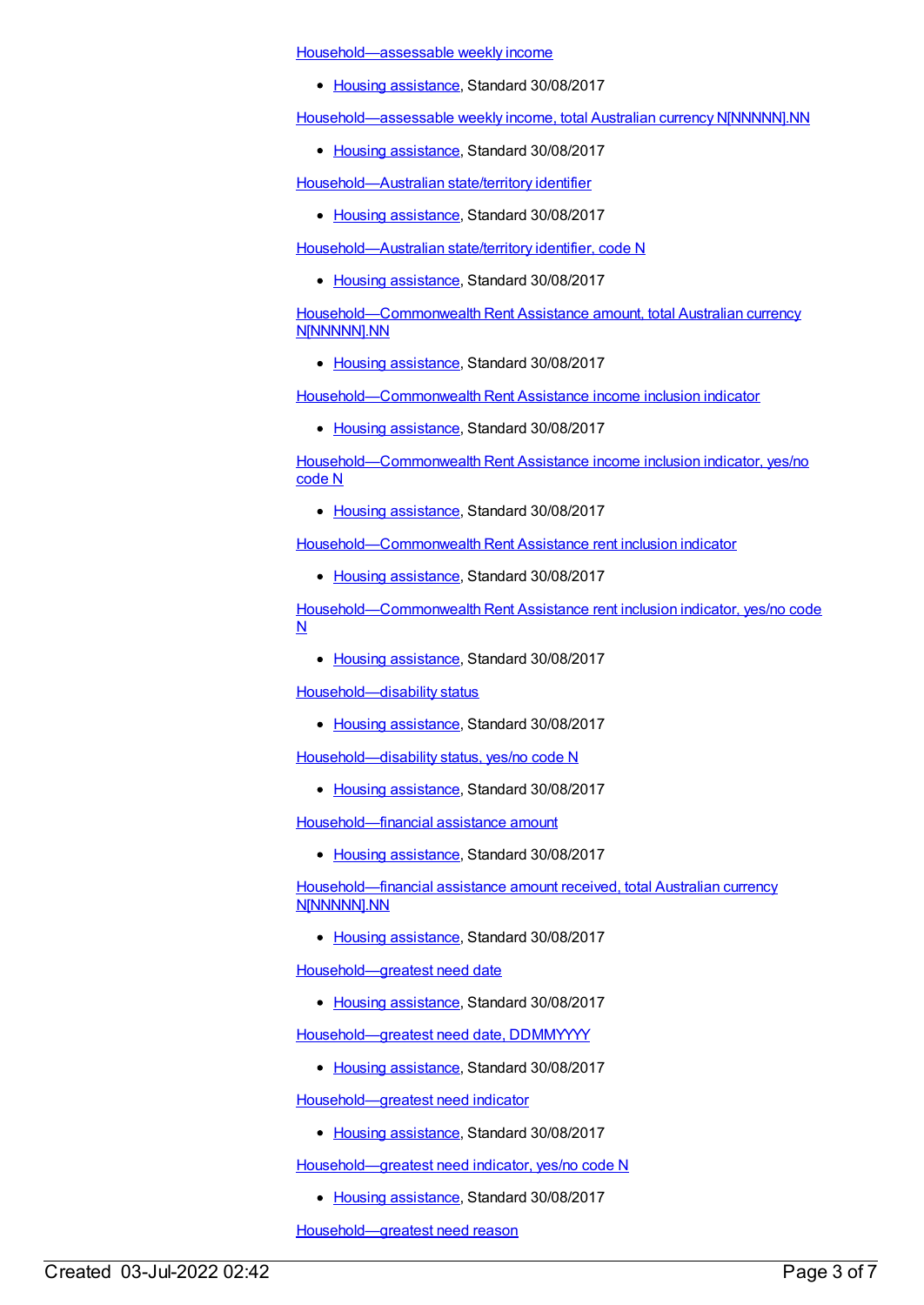[Household—assessable](https://meteor.aihw.gov.au/content/595875) weekly income

• Housing [assistance](https://meteor.aihw.gov.au/RegistrationAuthority/11), Standard 30/08/2017

[Household—assessable](https://meteor.aihw.gov.au/content/595877) weekly income, total Australian currency N[NNNNN].NN

• Housing [assistance](https://meteor.aihw.gov.au/RegistrationAuthority/11), Standard 30/08/2017

[Household—Australian](https://meteor.aihw.gov.au/content/608073) state/territory identifier

• Housing [assistance](https://meteor.aihw.gov.au/RegistrationAuthority/11), Standard 30/08/2017

[Household—Australian](https://meteor.aihw.gov.au/content/608075) state/territory identifier, code N

• Housing [assistance](https://meteor.aihw.gov.au/RegistrationAuthority/11), Standard 30/08/2017

[Household—Commonwealth](https://meteor.aihw.gov.au/content/610107) Rent Assistance amount, total Australian currency N[NNNNN].NN

• Housing [assistance](https://meteor.aihw.gov.au/RegistrationAuthority/11), Standard 30/08/2017

[Household—Commonwealth](https://meteor.aihw.gov.au/content/610153) Rent Assistance income inclusion indicator

• Housing [assistance](https://meteor.aihw.gov.au/RegistrationAuthority/11), Standard 30/08/2017

[Household—Commonwealth](https://meteor.aihw.gov.au/content/610156) Rent Assistance income inclusion indicator, yes/no code N

• Housing [assistance](https://meteor.aihw.gov.au/RegistrationAuthority/11), Standard 30/08/2017

[Household—Commonwealth](https://meteor.aihw.gov.au/content/610146) Rent Assistance rent inclusion indicator

• Housing [assistance](https://meteor.aihw.gov.au/RegistrationAuthority/11), Standard 30/08/2017

[Household—Commonwealth](https://meteor.aihw.gov.au/content/610149) Rent Assistance rent inclusion indicator, yes/no code N

• Housing [assistance](https://meteor.aihw.gov.au/RegistrationAuthority/11), Standard 30/08/2017

[Household—disability](https://meteor.aihw.gov.au/content/607874) status

• Housing [assistance](https://meteor.aihw.gov.au/RegistrationAuthority/11), Standard 30/08/2017

[Household—disability](https://meteor.aihw.gov.au/content/607876) status, yes/no code N

• Housing [assistance](https://meteor.aihw.gov.au/RegistrationAuthority/11), Standard 30/08/2017

[Household—financial](https://meteor.aihw.gov.au/content/608506) assistance amount

• Housing [assistance](https://meteor.aihw.gov.au/RegistrationAuthority/11), Standard 30/08/2017

[Household—financial](https://meteor.aihw.gov.au/content/608508) assistance amount received, total Australian currency N[NNNNN].NN

• Housing [assistance](https://meteor.aihw.gov.au/RegistrationAuthority/11), Standard 30/08/2017

[Household—greatest](https://meteor.aihw.gov.au/content/608060) need date

• Housing [assistance](https://meteor.aihw.gov.au/RegistrationAuthority/11), Standard 30/08/2017

[Household—greatest](https://meteor.aihw.gov.au/content/605815) need date, DDMMYYYY

• Housing [assistance](https://meteor.aihw.gov.au/RegistrationAuthority/11), Standard 30/08/2017

[Household—greatest](https://meteor.aihw.gov.au/content/608417) need indicator

• Housing [assistance](https://meteor.aihw.gov.au/RegistrationAuthority/11), Standard 30/08/2017

[Household—greatest](https://meteor.aihw.gov.au/content/608411) need indicator, yes/no code N

• Housing [assistance](https://meteor.aihw.gov.au/RegistrationAuthority/11), Standard 30/08/2017

[Household—greatest](https://meteor.aihw.gov.au/content/608064) need reason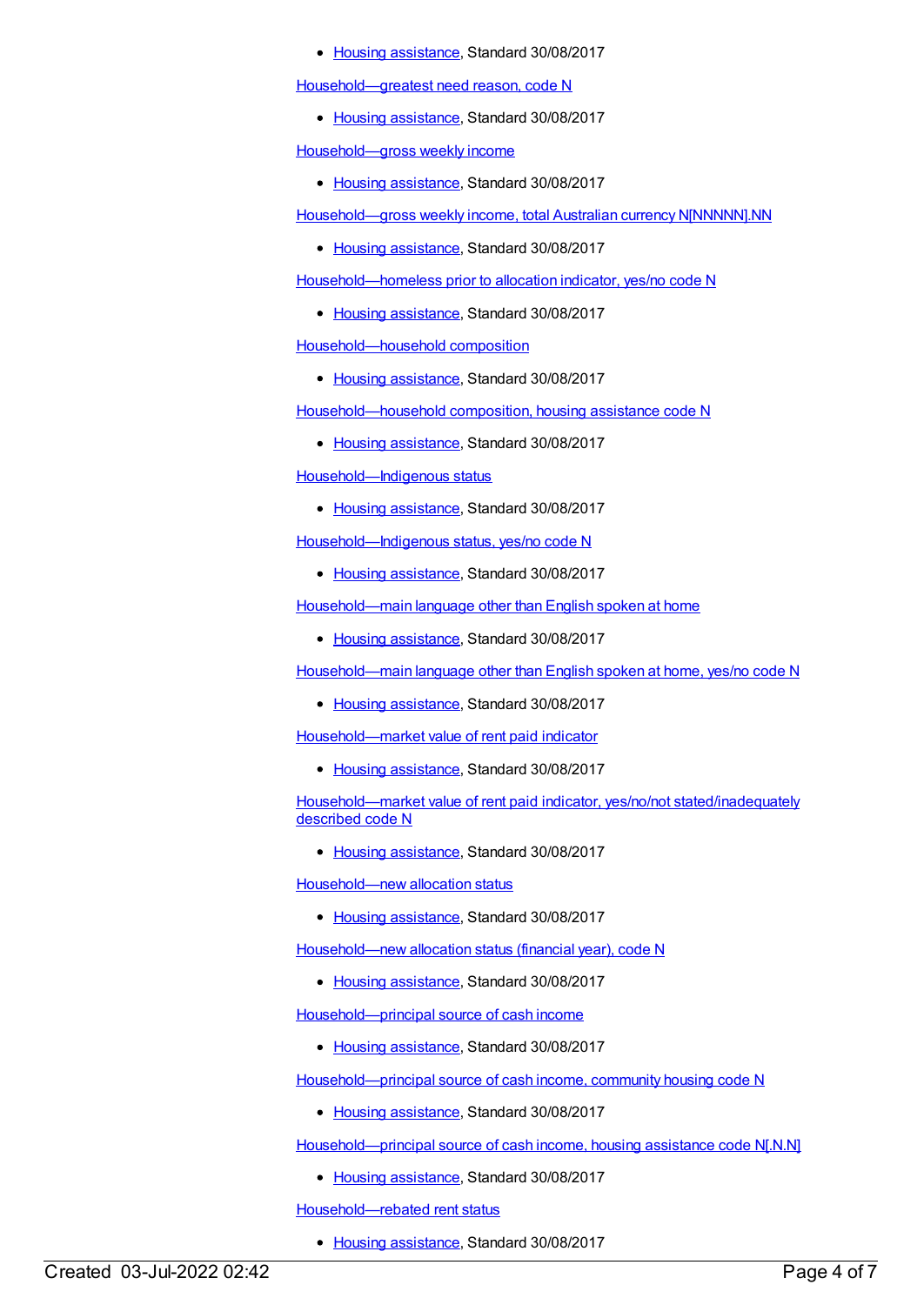#### • Housing [assistance](https://meteor.aihw.gov.au/RegistrationAuthority/11), Standard 30/08/2017

[Household—greatest](https://meteor.aihw.gov.au/content/607878) need reason, code N

• Housing [assistance](https://meteor.aihw.gov.au/RegistrationAuthority/11), Standard 30/08/2017

[Household—gross](https://meteor.aihw.gov.au/content/607880) weekly income

• Housing [assistance](https://meteor.aihw.gov.au/RegistrationAuthority/11), Standard 30/08/2017

[Household—gross](https://meteor.aihw.gov.au/content/607882) weekly income, total Australian currency N[NNNNN].NN

• Housing [assistance](https://meteor.aihw.gov.au/RegistrationAuthority/11), Standard 30/08/2017

[Household—homeless](https://meteor.aihw.gov.au/content/608014) prior to allocation indicator, yes/no code N

• Housing [assistance](https://meteor.aihw.gov.au/RegistrationAuthority/11), Standard 30/08/2017

[Household—household](https://meteor.aihw.gov.au/content/608016) composition

• Housing [assistance](https://meteor.aihw.gov.au/RegistrationAuthority/11), Standard 30/08/2017

[Household—household](https://meteor.aihw.gov.au/content/608018) composition, housing assistance code N

• Housing [assistance](https://meteor.aihw.gov.au/RegistrationAuthority/11), Standard 30/08/2017

[Household—Indigenous](https://meteor.aihw.gov.au/content/608134) status

• Housing [assistance](https://meteor.aihw.gov.au/RegistrationAuthority/11), Standard 30/08/2017

[Household—Indigenous](https://meteor.aihw.gov.au/content/607888) status, yes/no code N

• Housing [assistance](https://meteor.aihw.gov.au/RegistrationAuthority/11), Standard 30/08/2017

[Household—main](https://meteor.aihw.gov.au/content/608024) language other than English spoken at home

• Housing [assistance](https://meteor.aihw.gov.au/RegistrationAuthority/11), Standard 30/08/2017

[Household—main](https://meteor.aihw.gov.au/content/608028) language other than English spoken at home, yes/no code N

• Housing [assistance](https://meteor.aihw.gov.au/RegistrationAuthority/11), Standard 30/08/2017

[Household—market](https://meteor.aihw.gov.au/content/608030) value of rent paid indicator

• Housing [assistance](https://meteor.aihw.gov.au/RegistrationAuthority/11), Standard 30/08/2017

[Household—market](https://meteor.aihw.gov.au/content/608032) value of rent paid indicator, yes/no/not stated/inadequately described code N

• Housing [assistance](https://meteor.aihw.gov.au/RegistrationAuthority/11), Standard 30/08/2017

[Household—new](https://meteor.aihw.gov.au/content/608137) allocation status

• Housing [assistance](https://meteor.aihw.gov.au/RegistrationAuthority/11), Standard 30/08/2017

[Household—new](https://meteor.aihw.gov.au/content/607890) allocation status (financial year), code N

• Housing [assistance](https://meteor.aihw.gov.au/RegistrationAuthority/11), Standard 30/08/2017

[Household—principal](https://meteor.aihw.gov.au/content/608445) source of cash income

• Housing [assistance](https://meteor.aihw.gov.au/RegistrationAuthority/11), Standard 30/08/2017

[Household—principal](https://meteor.aihw.gov.au/content/608478) source of cash income, community housing code N

• Housing [assistance](https://meteor.aihw.gov.au/RegistrationAuthority/11), Standard 30/08/2017

[Household—principal](https://meteor.aihw.gov.au/content/608480) source of cash income, housing assistance code N[.N.N]

• Housing [assistance](https://meteor.aihw.gov.au/RegistrationAuthority/11), Standard 30/08/2017

[Household—rebated](https://meteor.aihw.gov.au/content/608140) rent status

• Housing [assistance](https://meteor.aihw.gov.au/RegistrationAuthority/11), Standard 30/08/2017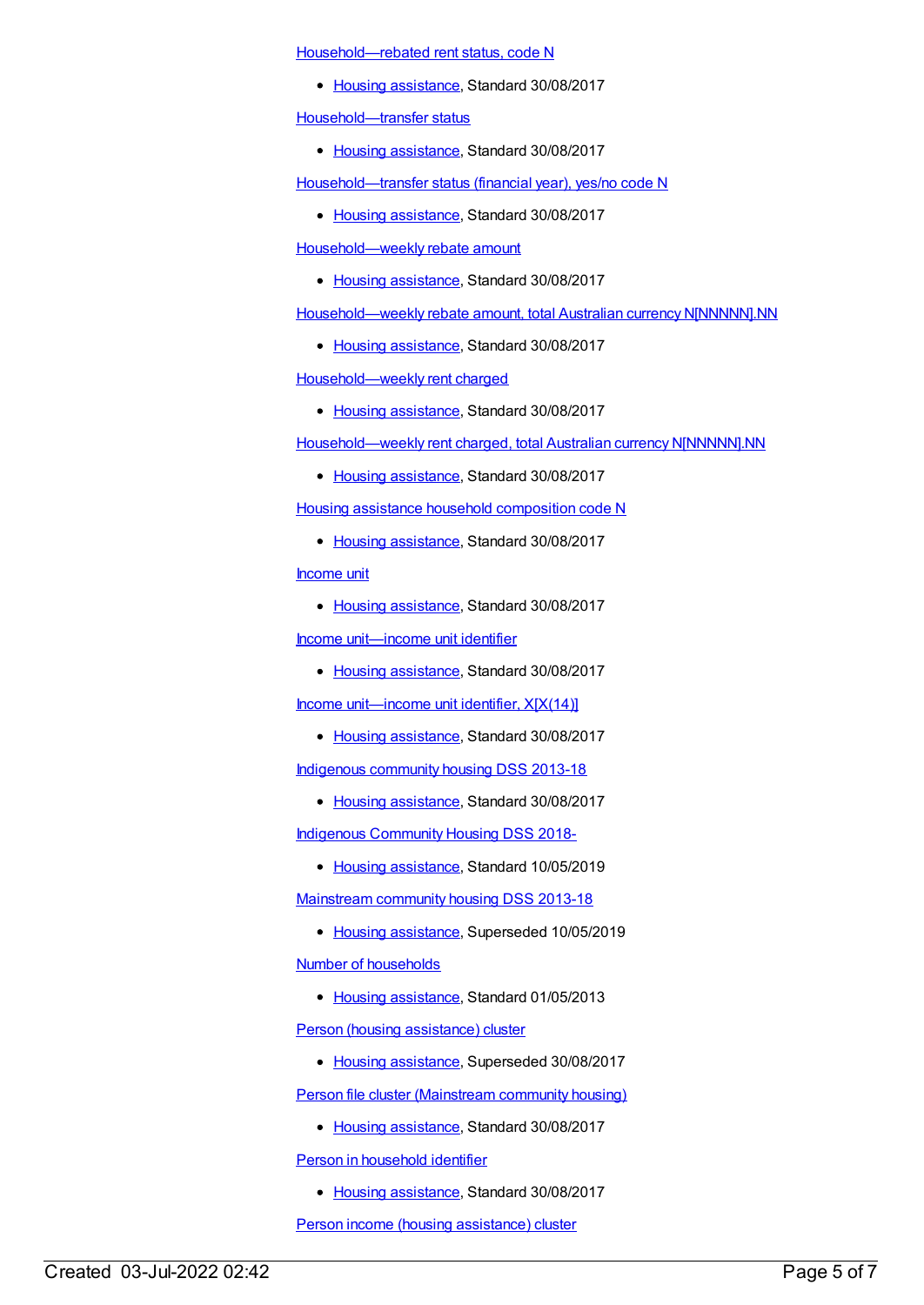[Household—rebated](https://meteor.aihw.gov.au/content/607892) rent status, code N

• Housing [assistance](https://meteor.aihw.gov.au/RegistrationAuthority/11), Standard 30/08/2017

[Household—transfer](https://meteor.aihw.gov.au/content/608147) status

• Housing [assistance](https://meteor.aihw.gov.au/RegistrationAuthority/11), Standard 30/08/2017

[Household—transfer](https://meteor.aihw.gov.au/content/608149) status (financial year), yes/no code N

• Housing [assistance](https://meteor.aihw.gov.au/RegistrationAuthority/11), Standard 30/08/2017

[Household—weekly](https://meteor.aihw.gov.au/content/608152) rebate amount

• Housing [assistance](https://meteor.aihw.gov.au/RegistrationAuthority/11), Standard 30/08/2017

[Household—weekly](https://meteor.aihw.gov.au/content/607896) rebate amount, total Australian currency N[NNNNN].NN

• Housing [assistance](https://meteor.aihw.gov.au/RegistrationAuthority/11), Standard 30/08/2017

[Household—weekly](https://meteor.aihw.gov.au/content/608143) rent charged

• Housing [assistance](https://meteor.aihw.gov.au/RegistrationAuthority/11), Standard 30/08/2017

[Household—weekly](https://meteor.aihw.gov.au/content/607894) rent charged, total Australian currency N[NNNNN].NN

• Housing [assistance](https://meteor.aihw.gov.au/RegistrationAuthority/11), Standard 30/08/2017

Housing assistance household [composition](https://meteor.aihw.gov.au/content/608487) code N

• Housing [assistance](https://meteor.aihw.gov.au/RegistrationAuthority/11), Standard 30/08/2017

[Income](https://meteor.aihw.gov.au/content/608087) unit

• Housing [assistance](https://meteor.aihw.gov.au/RegistrationAuthority/11), Standard 30/08/2017

Income [unit—income](https://meteor.aihw.gov.au/content/608089) unit identifier

• Housing [assistance](https://meteor.aihw.gov.au/RegistrationAuthority/11), Standard 30/08/2017

Income [unit—income](https://meteor.aihw.gov.au/content/607900) unit identifier, X[X(14)]

• Housing [assistance](https://meteor.aihw.gov.au/RegistrationAuthority/11), Standard 30/08/2017

[Indigenous](https://meteor.aihw.gov.au/content/596369) community housing DSS 2013-18

• Housing [assistance](https://meteor.aihw.gov.au/RegistrationAuthority/11), Standard 30/08/2017

Indigenous [Community](https://meteor.aihw.gov.au/content/711226) Housing DSS 2018-

• Housing [assistance](https://meteor.aihw.gov.au/RegistrationAuthority/11), Standard 10/05/2019

[Mainstream](https://meteor.aihw.gov.au/content/594489) community housing DSS 2013-18

- Housing [assistance](https://meteor.aihw.gov.au/RegistrationAuthority/11), Superseded 10/05/2019 Number of [households](https://meteor.aihw.gov.au/content/463933)
	- Housing [assistance](https://meteor.aihw.gov.au/RegistrationAuthority/11), Standard 01/05/2013

Person (housing [assistance\)](https://meteor.aihw.gov.au/content/605260) cluster

• Housing [assistance](https://meteor.aihw.gov.au/RegistrationAuthority/11), Superseded 30/08/2017

Person file cluster [\(Mainstream](https://meteor.aihw.gov.au/content/605348) community housing)

• Housing [assistance](https://meteor.aihw.gov.au/RegistrationAuthority/11), Standard 30/08/2017

Person in [household](https://meteor.aihw.gov.au/content/668520) identifier

• Housing [assistance](https://meteor.aihw.gov.au/RegistrationAuthority/11), Standard 30/08/2017

Person income (housing [assistance\)](https://meteor.aihw.gov.au/content/605275) cluster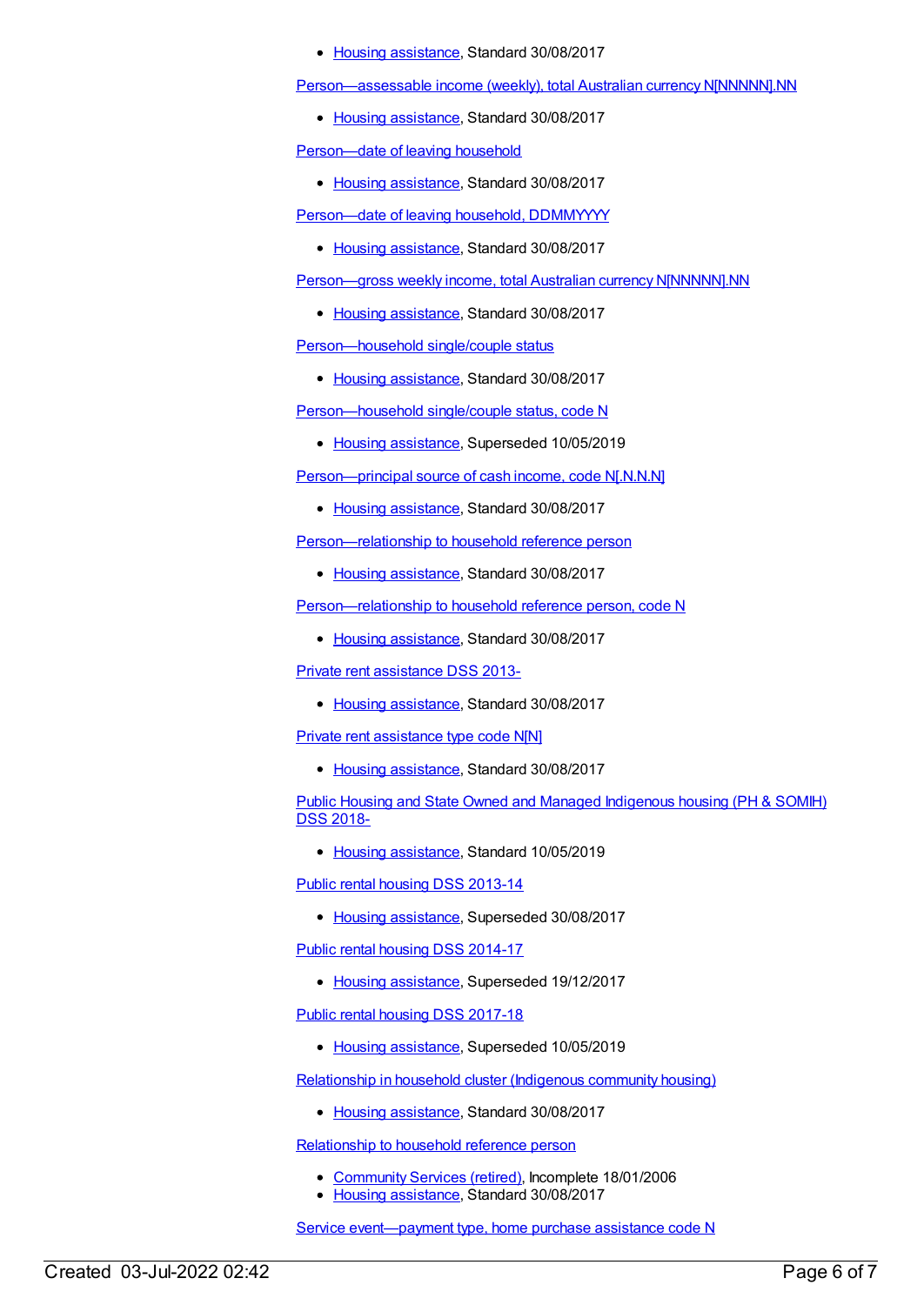#### • Housing [assistance](https://meteor.aihw.gov.au/RegistrationAuthority/11), Standard 30/08/2017

[Person—assessable](https://meteor.aihw.gov.au/content/595870) income (weekly), total Australian currency N[NNNNN].NN

• Housing [assistance](https://meteor.aihw.gov.au/RegistrationAuthority/11), Standard 30/08/2017

[Person—date](https://meteor.aihw.gov.au/content/610242) of leaving household

• Housing [assistance](https://meteor.aihw.gov.au/RegistrationAuthority/11), Standard 30/08/2017

[Person—date](https://meteor.aihw.gov.au/content/610244) of leaving household, DDMMYYYY

• Housing [assistance](https://meteor.aihw.gov.au/RegistrationAuthority/11), Standard 30/08/2017

[Person—gross](https://meteor.aihw.gov.au/content/595887) weekly income, total Australian currency N[NNNNN].NN

• Housing [assistance](https://meteor.aihw.gov.au/RegistrationAuthority/11), Standard 30/08/2017

[Person—household](https://meteor.aihw.gov.au/content/608105) single/couple status

• Housing [assistance](https://meteor.aihw.gov.au/RegistrationAuthority/11), Standard 30/08/2017

[Person—household](https://meteor.aihw.gov.au/content/608109) single/couple status, code N

• Housing [assistance](https://meteor.aihw.gov.au/RegistrationAuthority/11), Superseded 10/05/2019

[Person—principal](https://meteor.aihw.gov.au/content/608085) source of cash income, code N[.N.N.N]

• Housing [assistance](https://meteor.aihw.gov.au/RegistrationAuthority/11), Standard 30/08/2017

[Person—relationship](https://meteor.aihw.gov.au/content/609149) to household reference person

• Housing [assistance](https://meteor.aihw.gov.au/RegistrationAuthority/11), Standard 30/08/2017

[Person—relationship](https://meteor.aihw.gov.au/content/609147) to household reference person, code N

• Housing [assistance](https://meteor.aihw.gov.au/RegistrationAuthority/11), Standard 30/08/2017

Private rent [assistance](https://meteor.aihw.gov.au/content/596529) DSS 2013-

• Housing [assistance](https://meteor.aihw.gov.au/RegistrationAuthority/11), Standard 30/08/2017

Private rent [assistance](https://meteor.aihw.gov.au/content/612377) type code N[N]

• Housing [assistance](https://meteor.aihw.gov.au/RegistrationAuthority/11), Standard 30/08/2017

Public Housing and State Owned and Managed [Indigenous](https://meteor.aihw.gov.au/content/711016) housing (PH & SOMIH) DSS 2018-

• Housing [assistance](https://meteor.aihw.gov.au/RegistrationAuthority/11), Standard 10/05/2019

Public rental housing DSS [2013-14](https://meteor.aihw.gov.au/content/595530)

• Housing [assistance](https://meteor.aihw.gov.au/RegistrationAuthority/11), Superseded 30/08/2017

Public rental housing DSS [2014-17](https://meteor.aihw.gov.au/content/635946)

• Housing [assistance](https://meteor.aihw.gov.au/RegistrationAuthority/11), Superseded 19/12/2017

Public rental housing DSS [2017-18](https://meteor.aihw.gov.au/content/687107)

• Housing [assistance](https://meteor.aihw.gov.au/RegistrationAuthority/11), Superseded 10/05/2019

[Relationship](https://meteor.aihw.gov.au/content/608500) in household cluster (Indigenous community housing)

• Housing [assistance](https://meteor.aihw.gov.au/RegistrationAuthority/11), Standard 30/08/2017

[Relationship](https://meteor.aihw.gov.au/content/321218) to household reference person

- [Community](https://meteor.aihw.gov.au/RegistrationAuthority/1) Services (retired), Incomplete 18/01/2006
- Housing [assistance](https://meteor.aihw.gov.au/RegistrationAuthority/11), Standard 30/08/2017

Service [event—payment](https://meteor.aihw.gov.au/content/611709) type, home purchase assistance code N